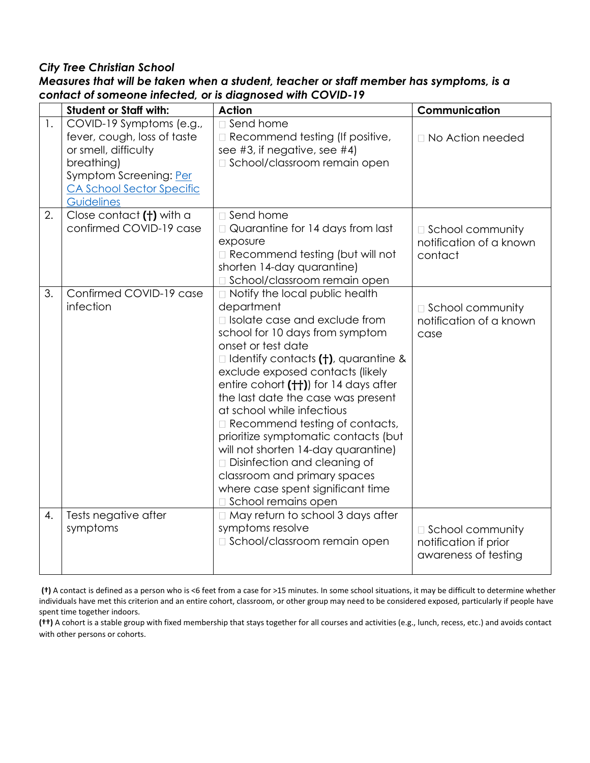### *City Tree Christian School*

|                | <b>Student or Staff with:</b>                                                                                                                                             | <b>Action</b>                                                                                                                                                                                                                                                                                                                                                                                                                                                                                                                                                                            | Communication                                                       |
|----------------|---------------------------------------------------------------------------------------------------------------------------------------------------------------------------|------------------------------------------------------------------------------------------------------------------------------------------------------------------------------------------------------------------------------------------------------------------------------------------------------------------------------------------------------------------------------------------------------------------------------------------------------------------------------------------------------------------------------------------------------------------------------------------|---------------------------------------------------------------------|
| $\mathbf{1}$ . | COVID-19 Symptoms (e.g.,<br>fever, cough, loss of taste<br>or smell, difficulty<br>breathing)<br>Symptom Screening: Per<br><b>CA School Sector Specific</b><br>Guidelines | □ Send home<br>Recommend testing (If positive,<br>see #3, if negative, see #4)<br>□ School/classroom remain open                                                                                                                                                                                                                                                                                                                                                                                                                                                                         | $\Box$ No Action needed                                             |
| 2.             | Close contact (+) with a<br>confirmed COVID-19 case                                                                                                                       | $\Box$ Send home<br>□ Quarantine for 14 days from last<br>exposure<br>Recommend testing (but will not<br>shorten 14-day quarantine)<br>□ School/classroom remain open                                                                                                                                                                                                                                                                                                                                                                                                                    | □ School community<br>notification of a known<br>contact            |
| 3.             | Confirmed COVID-19 case<br>infection                                                                                                                                      | □ Notify the local public health<br>department<br>□ Isolate case and exclude from<br>school for 10 days from symptom<br>onset or test date<br>$\Box$ Identify contacts (†), quarantine &<br>exclude exposed contacts (likely<br>entire cohort (++)) for 14 days after<br>the last date the case was present<br>at school while infectious<br>Recommend testing of contacts,<br>prioritize symptomatic contacts (but<br>will not shorten 14-day quarantine)<br>□ Disinfection and cleaning of<br>classroom and primary spaces<br>where case spent significant time<br>School remains open | $\Box$ School community<br>notification of a known<br>case          |
| 4.             | Tests negative after<br>symptoms                                                                                                                                          | □ May return to school 3 days after<br>symptoms resolve<br>□ School/classroom remain open                                                                                                                                                                                                                                                                                                                                                                                                                                                                                                | □ School community<br>notification if prior<br>awareness of testing |

### *Measures that will be taken when a student, teacher or staff member has symptoms, is a contact of someone infected, or is diagnosed with COVID-19*

**(†)** A contact is defined as a person who is <6 feet from a case for >15 minutes. In some school situations, it may be difficult to determine whether individuals have met this criterion and an entire cohort, classroom, or other group may need to be considered exposed, particularly if people have spent time together indoors.

**(††)** A cohort is a stable group with fixed membership that stays together for all courses and activities (e.g., lunch, recess, etc.) and avoids contact with other persons or cohorts.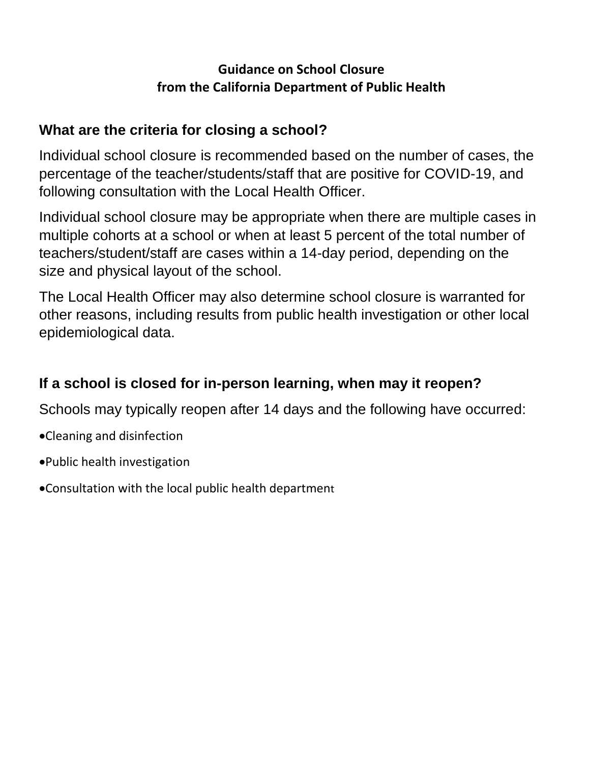## **Guidance on School Closure from the California Department of Public Health**

# **What are the criteria for closing a school?**

Individual school closure is recommended based on the number of cases, the percentage of the teacher/students/staff that are positive for COVID-19, and following consultation with the Local Health Officer.

Individual school closure may be appropriate when there are multiple cases in multiple cohorts at a school or when at least 5 percent of the total number of teachers/student/staff are cases within a 14-day period, depending on the size and physical layout of the school.

The Local Health Officer may also determine school closure is warranted for other reasons, including results from public health investigation or other local epidemiological data.

# **If a school is closed for in-person learning, when may it reopen?**

Schools may typically reopen after 14 days and the following have occurred:

- Cleaning and disinfection
- Public health investigation
- Consultation with the local public health department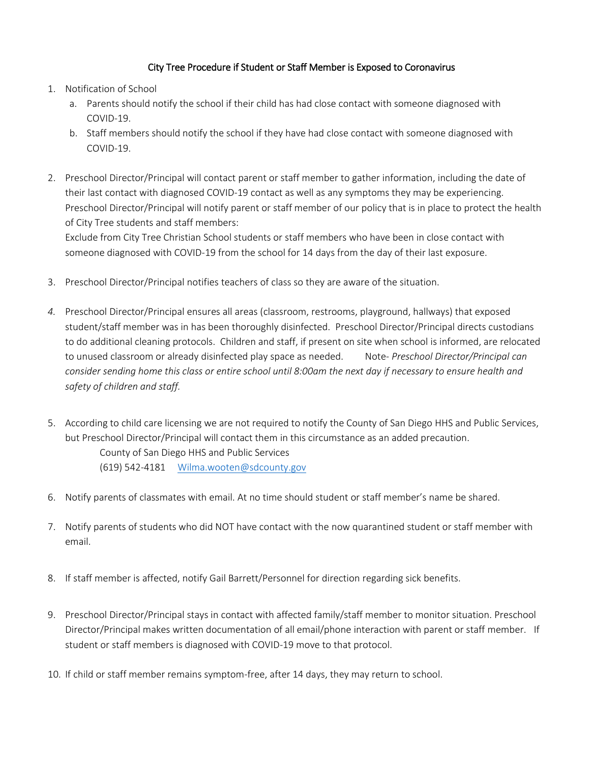#### City Tree Procedure if Student or Staff Member is Exposed to Coronavirus

- 1. Notification of School
	- a. Parents should notify the school if their child has had close contact with someone diagnosed with COVID-19.
	- b. Staff members should notify the school if they have had close contact with someone diagnosed with COVID-19.
- 2. Preschool Director/Principal will contact parent or staff member to gather information, including the date of their last contact with diagnosed COVID-19 contact as well as any symptoms they may be experiencing. Preschool Director/Principal will notify parent or staff member of our policy that is in place to protect the health of City Tree students and staff members:

Exclude from City Tree Christian School students or staff members who have been in close contact with someone diagnosed with COVID-19 from the school for 14 days from the day of their last exposure.

- 3. Preschool Director/Principal notifies teachers of class so they are aware of the situation.
- *4.* Preschool Director/Principal ensures all areas (classroom, restrooms, playground, hallways) that exposed student/staff member was in has been thoroughly disinfected. Preschool Director/Principal directs custodians to do additional cleaning protocols. Children and staff, if present on site when school is informed, are relocated to unused classroom or already disinfected play space as needed. Note- *Preschool Director/Principal can consider sending home this class or entire school until 8:00am the next day if necessary to ensure health and safety of children and staff.*
- 5. According to child care licensing we are not required to notify the County of San Diego HHS and Public Services, but Preschool Director/Principal will contact them in this circumstance as an added precaution. County of San Diego HHS and Public Services (619) 542-4181 [Wilma.wooten@sdcounty.gov](mailto:Wilma.wooten@sdcounty.gov)
- 6. Notify parents of classmates with email. At no time should student or staff member's name be shared.
- 7. Notify parents of students who did NOT have contact with the now quarantined student or staff member with email.
- 8. If staff member is affected, notify Gail Barrett/Personnel for direction regarding sick benefits.
- 9. Preschool Director/Principal stays in contact with affected family/staff member to monitor situation. Preschool Director/Principal makes written documentation of all email/phone interaction with parent or staff member. If student or staff members is diagnosed with COVID-19 move to that protocol.
- 10. If child or staff member remains symptom-free, after 14 days, they may return to school.